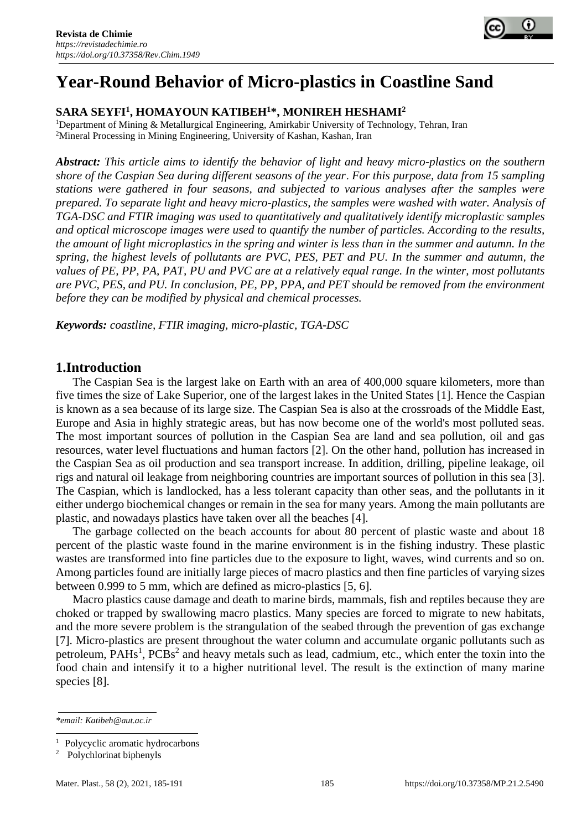

# **Year-Round Behavior of Micro-plastics in Coastline Sand**

### **SARA SEYFI<sup>1</sup> , HOMAYOUN KATIBEH<sup>1</sup>\*, MONIREH HESHAMI<sup>2</sup>**

<sup>1</sup>Department of Mining & Metallurgical Engineering, Amirkabir University of Technology, Tehran, Iran <sup>2</sup>Mineral Processing in Mining Engineering, University of Kashan, Kashan, Iran

*Abstract: This article aims to identify the behavior of light and heavy micro-plastics on the southern shore of the Caspian Sea during different seasons of the year. For this purpose, data from 15 sampling stations were gathered in four seasons, and subjected to various analyses after the samples were prepared. To separate light and heavy micro-plastics, the samples were washed with water. Analysis of TGA-DSC and FTIR imaging was used to quantitatively and qualitatively identify microplastic samples and optical microscope images were used to quantify the number of particles. According to the results, the amount of light microplastics in the spring and winter is less than in the summer and autumn. In the spring, the highest levels of pollutants are PVC, PES, PET and PU. In the summer and autumn, the values of PE, PP, PA, PAT, PU and PVC are at a relatively equal range. In the winter, most pollutants are PVC, PES, and PU. In conclusion, PE, PP, PPA, and PET should be removed from the environment before they can be modified by physical and chemical processes.*

*Keywords: coastline, FTIR imaging, micro-plastic, TGA-DSC*

#### **1.Introduction**

The Caspian Sea is the largest lake on Earth with an area of 400,000 square kilometers, more than five times the size of Lake Superior, one of the largest lakes in the United States [1]. Hence the Caspian is known as a sea because of its large size. The Caspian Sea is also at the crossroads of the Middle East, Europe and Asia in highly strategic areas, but has now become one of the world's most polluted seas. The most important sources of pollution in the Caspian Sea are land and sea pollution, oil and gas resources, water level fluctuations and human factors [2]. On the other hand, pollution has increased in the Caspian Sea as oil production and sea transport increase. In addition, drilling, pipeline leakage, oil rigs and natural oil leakage from neighboring countries are important sources of pollution in this sea [3]. The Caspian, which is landlocked, has a less tolerant capacity than other seas, and the pollutants in it either undergo biochemical changes or remain in the sea for many years. Among the main pollutants are plastic, and nowadays plastics have taken over all the beaches [4].

The garbage collected on the beach accounts for about 80 percent of plastic waste and about 18 percent of the plastic waste found in the marine environment is in the fishing industry. These plastic wastes are transformed into fine particles due to the exposure to light, waves, wind currents and so on. Among particles found are initially large pieces of macro plastics and then fine particles of varying sizes between 0.999 to 5 mm, which are defined as micro-plastics [5, 6].

Macro plastics cause damage and death to marine birds, mammals, fish and reptiles because they are choked or trapped by swallowing macro plastics. Many species are forced to migrate to new habitats, and the more severe problem is the strangulation of the seabed through the prevention of gas exchange [7]. Micro-plastics are present throughout the water column and accumulate organic pollutants such as petroleum, PAHs<sup>1</sup>, PCBs<sup>2</sup> and heavy metals such as lead, cadmium, etc., which enter the toxin into the food chain and intensify it to a higher nutritional level. The result is the extinction of many marine species [8].

*\*email[: Katibeh@aut.ac.ir](mailto:Katibeh@aut.ac.ir)*

<sup>&</sup>lt;sup>1</sup> Polycyclic aromatic hydrocarbons

<sup>2</sup> Polychlorinat biphenyls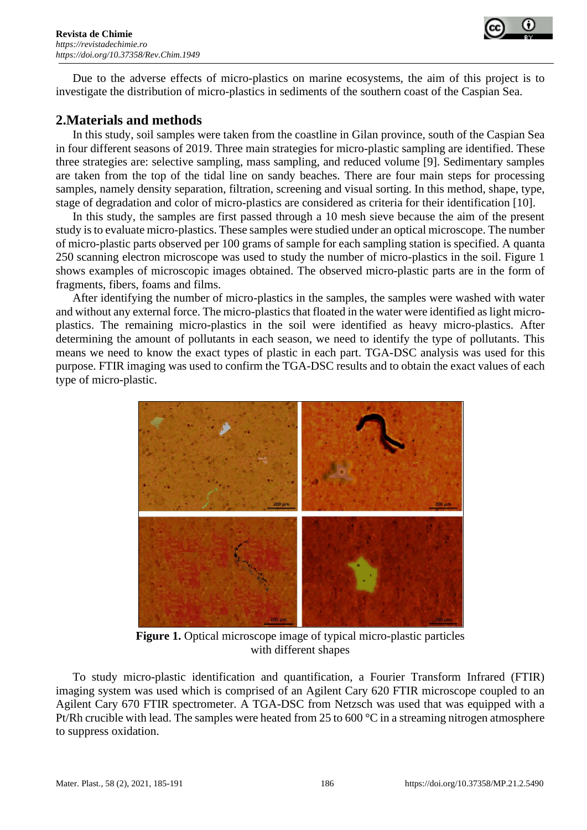

Due to the adverse effects of micro-plastics on marine ecosystems, the aim of this project is to investigate the distribution of micro-plastics in sediments of the southern coast of the Caspian Sea.

## **2.Materials and methods**

In this study, soil samples were taken from the coastline in Gilan province, south of the Caspian Sea in four different seasons of 2019. Three main strategies for micro-plastic sampling are identified. These three strategies are: selective sampling, mass sampling, and reduced volume [9]. Sedimentary samples are taken from the top of the tidal line on sandy beaches. There are four main steps for processing samples, namely density separation, filtration, screening and visual sorting. In this method, shape, type, stage of degradation and color of micro-plastics are considered as criteria for their identification [10].

In this study, the samples are first passed through a 10 mesh sieve because the aim of the present study is to evaluate micro*-*plastics. These samples were studied under an optical microscope. The number of micro*-*plastic parts observed per 100 grams of sample for each sampling station is specified.A quanta 250 scanning electron microscope was used to study the number of micro-plastics in the soil. Figure 1 shows examples of microscopic images obtained. The observed micro-plastic parts are in the form of fragments, fibers, foams and films.

After identifying the number of micro-plastics in the samples, the samples were washed with water and without any external force. The micro-plastics that floated in the water were identified as light microplastics. The remaining micro-plastics in the soil were identified as heavy micro-plastics. After determining the amount of pollutants in each season, we need to identify the type of pollutants. This means we need to know the exact types of plastic in each part. TGA-DSC analysis was used for this purpose. FTIR imaging was used to confirm the TGA-DSC results and to obtain the exact values of each type of micro-plastic.



**Figure 1.** Optical microscope image of typical micro-plastic particles with different shapes

To study micro-plastic identification and quantification, a Fourier Transform Infrared (FTIR) imaging system was used which is comprised of an Agilent Cary 620 FTIR microscope coupled to an Agilent Cary 670 FTIR spectrometer. A TGA-DSC from Netzsch was used that was equipped with a Pt/Rh crucible with lead. The samples were heated from 25 to 600 °C in a streaming nitrogen atmosphere to suppress oxidation.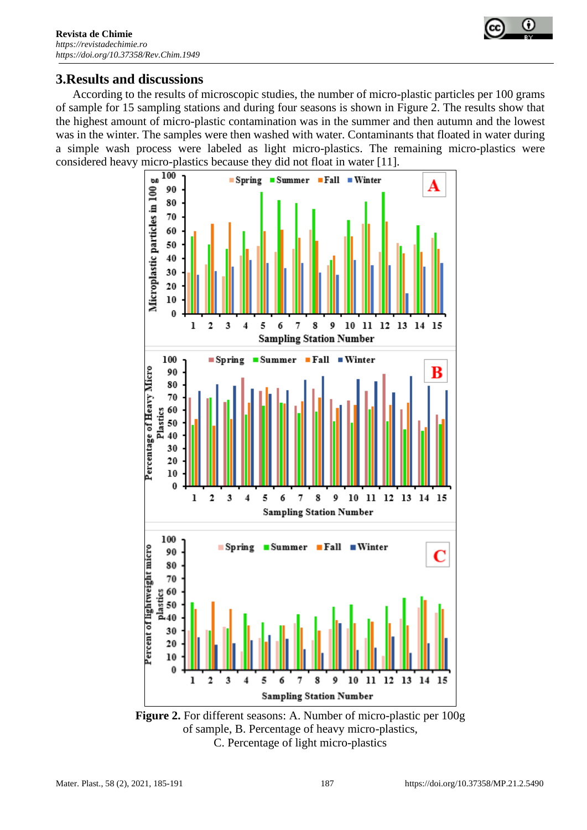

## **3.Results and discussions**

According to the results of microscopic studies, the number of micro-plastic particles per 100 grams of sample for 15 sampling stations and during four seasons is shown in Figure 2. The results show that the highest amount of micro-plastic contamination was in the summer and then autumn and the lowest was in the winter. The samples were then washed with water. Contaminants that floated in water during a simple wash process were labeled as light micro-plastics. The remaining micro-plastics were considered heavy micro-plastics because they did not float in water [11].



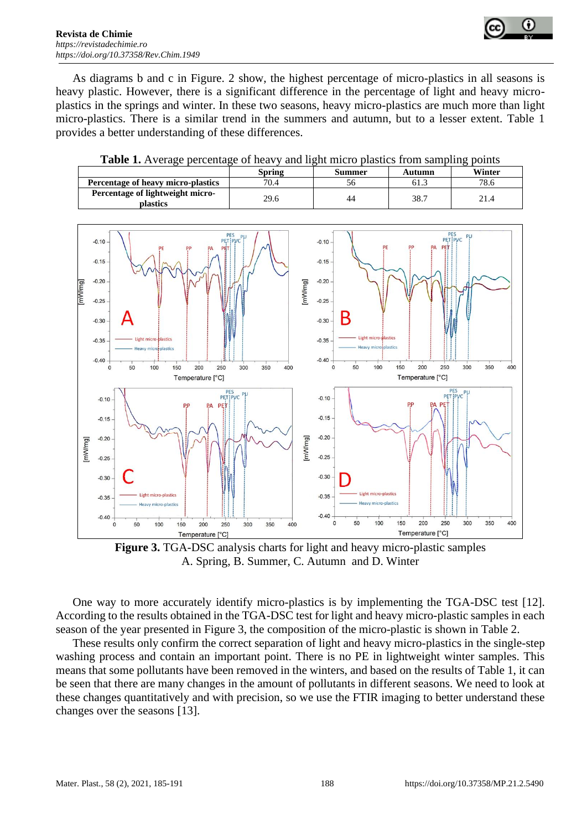

As diagrams b and c in Figure. 2 show, the highest percentage of micro-plastics in all seasons is heavy plastic. However, there is a significant difference in the percentage of light and heavy microplastics in the springs and winter. In these two seasons, heavy micro-plastics are much more than light micro-plastics. There is a similar trend in the summers and autumn, but to a lesser extent. Table 1 provides a better understanding of these differences.

|                                                     | Spring | Summer | Autumn | Winter |
|-----------------------------------------------------|--------|--------|--------|--------|
| Percentage of heavy micro-plastics                  | 70.4   | 56     | 61.3   | 78.6   |
| Percentage of lightweight micro-<br><b>plastics</b> | 29.6   | 44     | 38.7   | 21.4   |





**Figure 3.** TGA-DSC analysis charts for light and heavy micro-plastic samples A. Spring, B. Summer, C. Autumn and D. Winter

One way to more accurately identify micro-plastics is by implementing the TGA-DSC test [12]. According to the results obtained in the TGA-DSC test for light and heavy micro-plastic samples in each season of the year presented in Figure 3, the composition of the micro-plastic is shown in Table 2.

These results only confirm the correct separation of light and heavy micro-plastics in the single-step washing process and contain an important point. There is no PE in lightweight winter samples. This means that some pollutants have been removed in the winters, and based on the results of Table 1, it can be seen that there are many changes in the amount of pollutants in different seasons. We need to look at these changes quantitatively and with precision, so we use the FTIR imaging to better understand these changes over the seasons [13].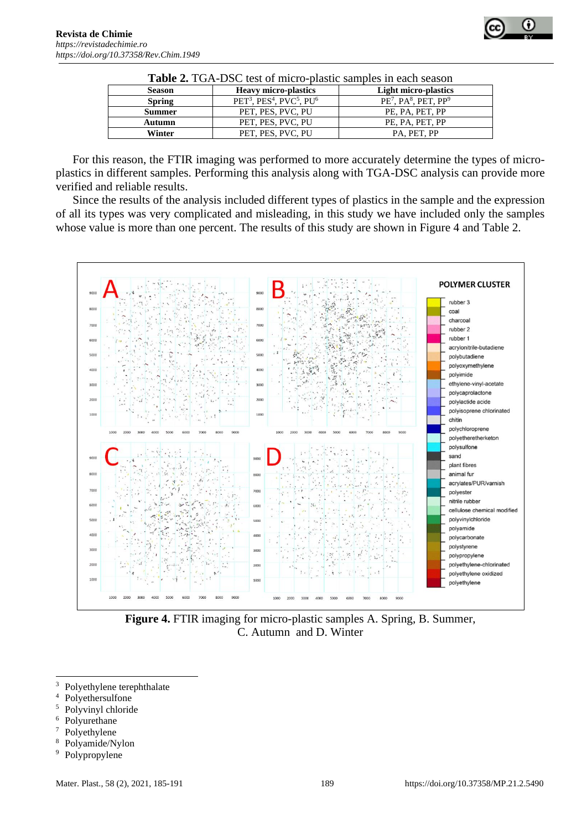| <b>Table 2.</b> TOA-DSC lest of fillcro-plastic samples in each season |                                                                          |                              |  |
|------------------------------------------------------------------------|--------------------------------------------------------------------------|------------------------------|--|
| <b>Season</b>                                                          | <b>Heavy micro-plastics</b>                                              | <b>Light micro-plastics</b>  |  |
| <b>Spring</b>                                                          | PET <sup>3</sup> , PES <sup>4</sup> , PVC <sup>5</sup> , PU <sup>6</sup> | $PE7$ , PA $8$ , PET, PP $9$ |  |
| <b>Summer</b>                                                          | PET, PES, PVC, PU                                                        | PE, PA, PET, PP              |  |
| Autumn                                                                 | PET, PES, PVC, PU                                                        | PE, PA, PET, PP              |  |
| Winter                                                                 | PET, PES, PVC, PU                                                        | PA, PET, PP                  |  |

| <b>Table 2.</b> TGA-DSC test of micro-plastic samples in each season |  |  |
|----------------------------------------------------------------------|--|--|
|                                                                      |  |  |

For this reason, the FTIR imaging was performed to more accurately determine the types of microplastics in different samples. Performing this analysis along with TGA-DSC analysis can provide more verified and reliable results.

Since the results of the analysis included different types of plastics in the sample and the expression of all its types was very complicated and misleading, in this study we have included only the samples whose value is more than one percent. The results of this study are shown in Figure 4 and Table 2.



**Figure 4.** FTIR imaging for micro-plastic samples A. Spring, B. Summer, C. Autumn and D. Winter

- $3$  Polyethylene terephthalate
- Polyethersulfone
- <sup>5</sup> Polyvinyl chloride
- $6$  Polyurethane
- Polyethylene
- <sup>8</sup> Polyamide/Nylon<br><sup>9</sup> Polypropylene
- Polypropylene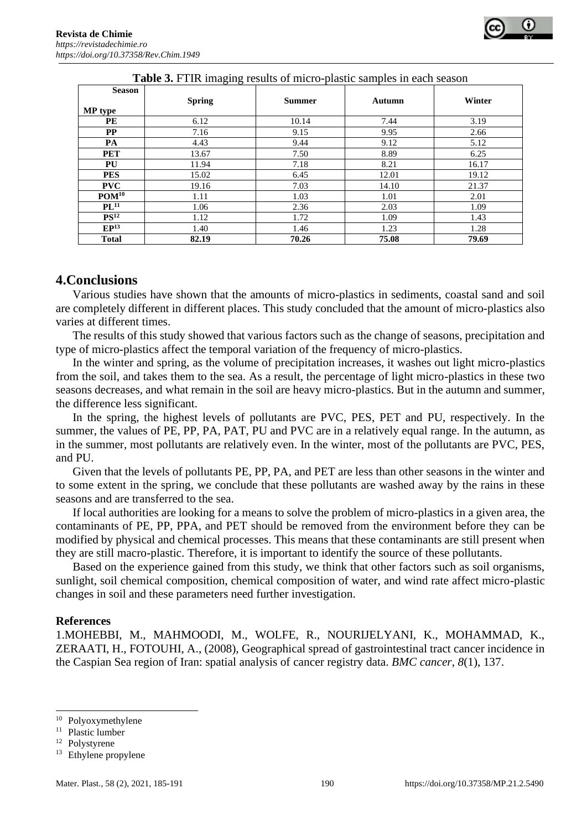| <b>Season</b>     |               |               |        |        |
|-------------------|---------------|---------------|--------|--------|
|                   | <b>Spring</b> | <b>Summer</b> | Autumn | Winter |
| MP type           |               |               |        |        |
| PE                | 6.12          | 10.14         | 7.44   | 3.19   |
| $\bf PP$          | 7.16          | 9.15          | 9.95   | 2.66   |
| PA                | 4.43          | 9.44          | 9.12   | 5.12   |
| <b>PET</b>        | 13.67         | 7.50          | 8.89   | 6.25   |
| PU                | 11.94         | 7.18          | 8.21   | 16.17  |
| <b>PES</b>        | 15.02         | 6.45          | 12.01  | 19.12  |
| <b>PVC</b>        | 19.16         | 7.03          | 14.10  | 21.37  |
| POM <sup>10</sup> | 1.11          | 1.03          | 1.01   | 2.01   |
| $PL^{11}$         | 1.06          | 2.36          | 2.03   | 1.09   |
| PS <sup>12</sup>  | 1.12          | 1.72          | 1.09   | 1.43   |
| EP <sup>13</sup>  | 1.40          | 1.46          | 1.23   | 1.28   |
| <b>Total</b>      | 82.19         | 70.26         | 75.08  | 79.69  |

| <b>Table 3.</b> FTIR imaging results of micro-plastic samples in each season |  |
|------------------------------------------------------------------------------|--|
|------------------------------------------------------------------------------|--|

## **4.Conclusions**

Various studies have shown that the amounts of micro-plastics in sediments, coastal sand and soil are completely different in different places. This study concluded that the amount of micro-plastics also varies at different times.

The results of this study showed that various factors such as the change of seasons, precipitation and type of micro-plastics affect the temporal variation of the frequency of micro-plastics.

In the winter and spring, as the volume of precipitation increases, it washes out light micro-plastics from the soil, and takes them to the sea. As a result, the percentage of light micro-plastics in these two seasons decreases, and what remain in the soil are heavy micro-plastics. But in the autumn and summer, the difference less significant.

In the spring, the highest levels of pollutants are PVC, PES, PET and PU, respectively. In the summer, the values of PE, PP, PA, PAT, PU and PVC are in a relatively equal range. In the autumn, as in the summer, most pollutants are relatively even. In the winter, most of the pollutants are PVC, PES, and PU.

Given that the levels of pollutants PE, PP, PA, and PET are less than other seasons in the winter and to some extent in the spring, we conclude that these pollutants are washed away by the rains in these seasons and are transferred to the sea.

If local authorities are looking for a means to solve the problem of micro-plastics in a given area, the contaminants of PE, PP, PPA, and PET should be removed from the environment before they can be modified by physical and chemical processes. This means that these contaminants are still present when they are still macro-plastic. Therefore, it is important to identify the source of these pollutants.

Based on the experience gained from this study, we think that other factors such as soil organisms, sunlight, soil chemical composition, chemical composition of water, and wind rate affect micro-plastic changes in soil and these parameters need further investigation.

#### **References**

1.MOHEBBI, M., MAHMOODI, M., WOLFE, R., NOURIJELYANI, K., MOHAMMAD, K., ZERAATI, H., FOTOUHI, A., (2008), Geographical spread of gastrointestinal tract cancer incidence in the Caspian Sea region of Iran: spatial analysis of cancer registry data. *BMC cancer*, *8*(1), 137.

<sup>10</sup> Polyoxymethylene

<sup>&</sup>lt;sup>11</sup> Plastic lumber

<sup>12</sup> Polystyrene

<sup>13</sup> Ethylene propylene